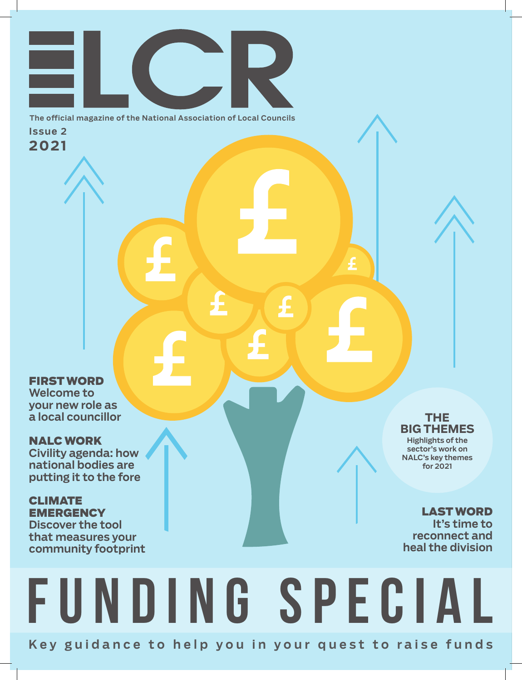The official magazine of the National Association of Local Councils Issue 2 **2021**

FIRST WORD Welcome to your new role as a local councillor

NALC WORK Civility agenda: how national bodies are

putting it to the fore

CLIMATE **EMERGENCY** Discover the tool that measures your community footprint

**THE BIG THEMES** Highlights of the

sector's work on NALC's key themes for 2021

### LAST WORD It's time to reconnect and heal the division

## Key guidance to help you in your quest to raise funds Funding special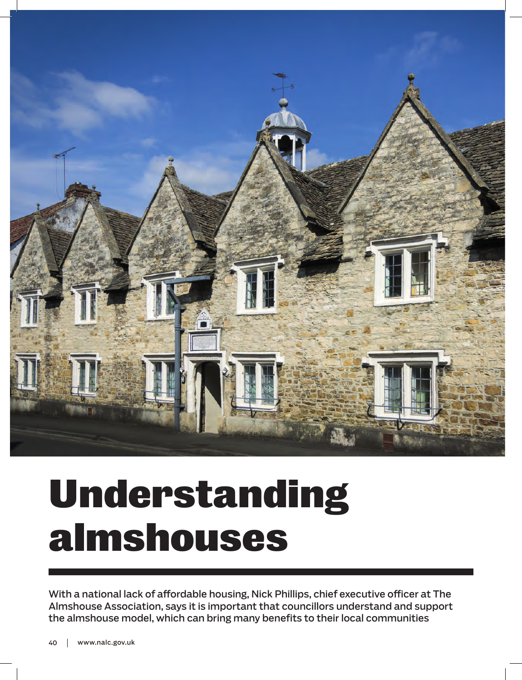

# Understanding almshouses

With a national lack of affordable housing, Nick Phillips, chief executive officer at The Almshouse Association, says it is important that councillors understand and support the almshouse model, which can bring many benefits to their local communities